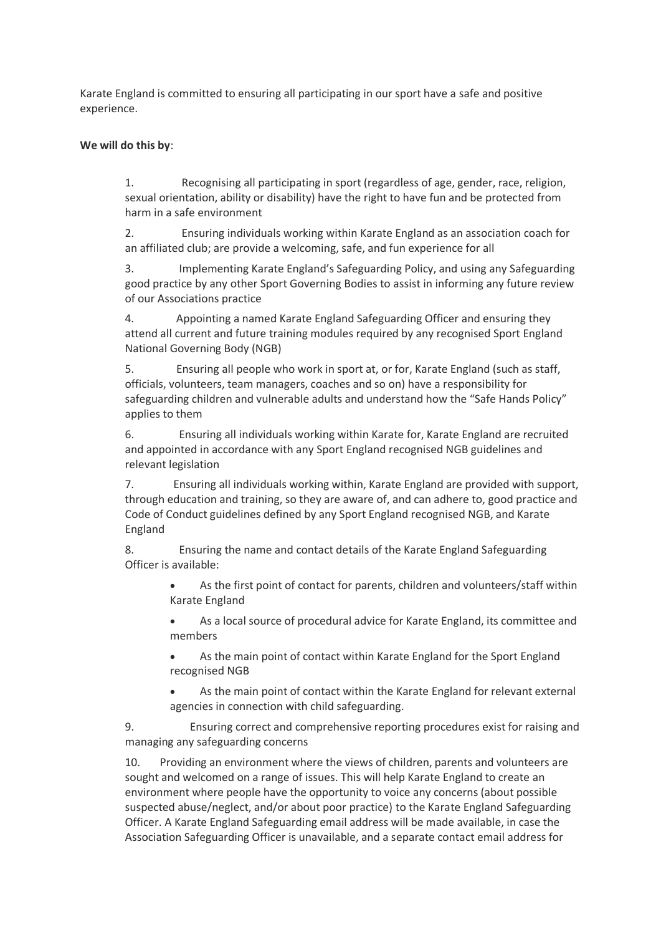Karate England is committed to ensuring all participating in our sport have a safe and positive experience.

## **We will do this by**:

1. Recognising all participating in sport (regardless of age, gender, race, religion, sexual orientation, ability or disability) have the right to have fun and be protected from harm in a safe environment

2. Ensuring individuals working within Karate England as an association coach for an affiliated club; are provide a welcoming, safe, and fun experience for all

3. Implementing Karate England's Safeguarding Policy, and using any Safeguarding good practice by any other Sport Governing Bodies to assist in informing any future review of our Associations practice

4. Appointing a named Karate England Safeguarding Officer and ensuring they attend all current and future training modules required by any recognised Sport England National Governing Body (NGB)

5. Ensuring all people who work in sport at, or for, Karate England (such as staff, officials, volunteers, team managers, coaches and so on) have a responsibility for safeguarding children and vulnerable adults and understand how the "Safe Hands Policy" applies to them

6. Ensuring all individuals working within Karate for, Karate England are recruited and appointed in accordance with any Sport England recognised NGB guidelines and relevant legislation

7. Ensuring all individuals working within, Karate England are provided with support, through education and training, so they are aware of, and can adhere to, good practice and Code of Conduct guidelines defined by any Sport England recognised NGB, and Karate England

8. Ensuring the name and contact details of the Karate England Safeguarding Officer is available:

> As the first point of contact for parents, children and volunteers/staff within Karate England

> As a local source of procedural advice for Karate England, its committee and members

 As the main point of contact within Karate England for the Sport England recognised NGB

 As the main point of contact within the Karate England for relevant external agencies in connection with child safeguarding.

9. Ensuring correct and comprehensive reporting procedures exist for raising and managing any safeguarding concerns

10. Providing an environment where the views of children, parents and volunteers are sought and welcomed on a range of issues. This will help Karate England to create an environment where people have the opportunity to voice any concerns (about possible suspected abuse/neglect, and/or about poor practice) to the Karate England Safeguarding Officer. A Karate England Safeguarding email address will be made available, in case the Association Safeguarding Officer is unavailable, and a separate contact email address for